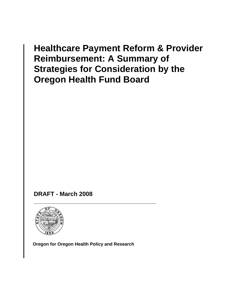## **Healthcare Payment Reform & Provider Reimbursement: A Summary of Strategies for Consideration by the Oregon Health Fund Board**

 **DRAFT - March 2008** 



**Oregon for Oregon Health Policy and Research**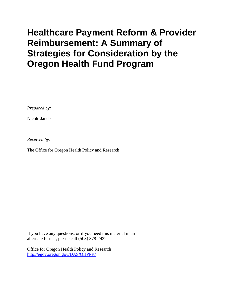# **Healthcare Payment Reform & Provider Reimbursement: A Summary of Strategies for Consideration by the Oregon Health Fund Program**

*Prepared by:* 

Nicole Janeba

*Received by:*

The Office for Oregon Health Policy and Research

If you have any questions, or if you need this material in an alternate format, please call (503) 378-2422

Office for Oregon Health Policy and Research <http://egov.oregon.gov/DAS/OHPPR/>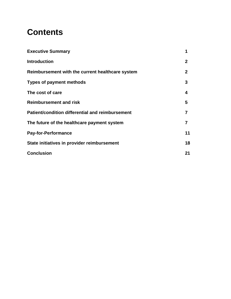## **Contents**

| <b>Executive Summary</b>                         |              |
|--------------------------------------------------|--------------|
| <b>Introduction</b>                              | $\mathbf 2$  |
| Reimbursement with the current healthcare system | $\mathbf{2}$ |
| <b>Types of payment methods</b>                  | 3            |
| The cost of care                                 | 4            |
| <b>Reimbursement and risk</b>                    | 5            |
| Patient/condition differential and reimbursement | 7            |
| The future of the healthcare payment system      |              |
| <b>Pay-for-Performance</b>                       | 11           |
| State initiatives in provider reimbursement      | 18           |
| <b>Conclusion</b>                                | 21           |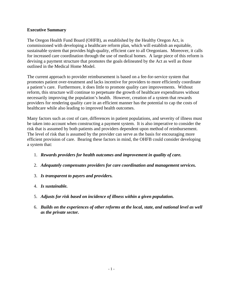## **Executive Summary**

The Oregon Health Fund Board (OHFB), as established by the Healthy Oregon Act, is commissioned with developing a healthcare reform plan, which will establish an equitable, sustainable system that provides high-quality, efficient care to all Oregonians. Moreover, it calls for increased care coordination through the use of medical homes. A large piece of this reform is devising a payment structure that promotes the goals delineated by the Act as well as those outlined in the Medical Home Model.

The current approach to provider reimbursement is based on a fee-for-service system that promotes patient over-treatment and lacks incentive for providers to more efficiently coordinate a patient's care. Furthermore, it does little to promote quality care improvements. Without reform, this structure will continue to perpetuate the growth of healthcare expenditures without necessarily improving the population's health. However, creation of a system that rewards providers for rendering quality care in an efficient manner has the potential to cap the costs of healthcare while also leading to improved health outcomes.

Many factors such as cost of care, differences in patient populations, and severity of illness must be taken into account when constructing a payment system. It is also imperative to consider the risk that is assumed by both patients and providers dependent upon method of reimbursement. The level of risk that is assumed by the provider can serve as the basis for encouraging more efficient provision of care. Bearing these factors in mind, the OHFB could consider developing a system that:

- 1. *Rewards providers for health outcomes and improvement in quality of care.*
- 2. *Adequately compensates providers for care coordination and management services.*
- 3. *Is transparent to payers and providers.*
- 4. *Is sustainable.*
- 5. *Adjusts for risk based on incidence of illness within a given population.*
- 6. *Builds on the experiences of other reforms at the local, state, and national level as well as the private sector.*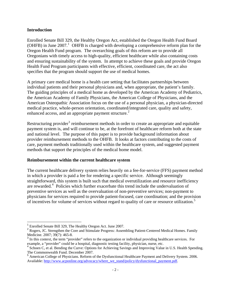## **Introduction**

Enrolled Senate Bill 329, the Healthy Oregon Act, established the Oregon Health Fund Board (OHFB) in June 2007.<sup>[1](#page-5-0)</sup> OHFB is charged with developing a comprehensive reform plan for the Oregon Health Fund program. The overarching goals of this reform are to provide all Oregonians with timely access to high-quality, efficient healthcare while also containing costs and ensuring sustainability of the system. In attempt to achieve these goals and provide Oregon Health Fund Program participants with effective, efficient, coordinated care, the act also specifies that the program should support the use of medical homes.

A primary care medical home is a health care setting that facilitates partnerships between individual patients and their personal physicians and, when appropriate, the patient's family. The guiding principles of a medical home as developed by the American Academy of Pediatrics, the American Academy of Family Physicians, the American College of Physicians, and the American Osteopathic Association focus on the use of a personal physician, a physician-directed medical practice, whole-person orientation, coordinated/integrated care, quality and safety, enhanced access, and an appropriate payment structure.<sup>[2](#page-5-1)</sup>

Restructuring provider<sup>[3](#page-5-2)</sup> reimbursement methods in order to create an appropriate and equitable payment system is, and will continue to be, at the forefront of healthcare reform both at the state and national level. The purpose of this paper is to provide background information about provider reimbursement methods to the OHFB. It looks at factors contributing to the costs of care, payment methods traditionally used within the healthcare system, and suggested payment methods that support the principles of the medical home model.

### **Reimbursement within the current healthcare system**

The current healthcare delivery system relies heavily on a fee-for-service (FFS) payment method in which a provider is paid a fee for rendering a specific service. Although seemingly straightforward, this system is built such that medical overutilization and resource inefficiency are rewarded.<sup>[4](#page-5-3)</sup> Policies which further exacerbate this trend include the undervaluation of preventive services as well as the overvaluation of non-preventive services; non-payment to physicians for services required to provide patient-focused, care coordination; and the provision of incentives for volume of services without regard to quality of care or resource utilization.<sup>[5](#page-5-4)</sup>

<span id="page-5-0"></span><sup>1</sup> Enrolled Senate Bill 329, The Healthy Oregon Act. June 2007.

<span id="page-5-1"></span><sup>&</sup>lt;sup>2</sup> Rogers, JC. Strengthen the Core and Stimulate Progress: Assembling Patient-Centered Medical Homes. Family Medicine. 2007; 39(7): 465-8.

<span id="page-5-2"></span> $3$  In this context, the term "provider" refers to the organization or individual providing healthcare services. For example, a "provider" could be a hospital, diagnostic testing facility, physician, nurse, etc.

<span id="page-5-3"></span><sup>&</sup>lt;sup>4</sup> Schoen C, et al. Bending the Curve: Options for Achieving Savings and Improving Value in U.S. Health Spending. The Commonwealth Fund. December 2007.

<span id="page-5-4"></span><sup>&</sup>lt;sup>5</sup> American College of Physicians. Reform of the Dysfunctional Healthcare Payment and Delivery System. 2006. Available: [http://www.acponline.org/advocacy/where\\_we\\_stand/policy/dysfunctional\\_payment.pdf.](http://www.acponline.org/advocacy/where_we_stand/policy/dysfunctional_payment.pdf)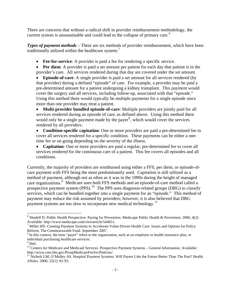There are concerns that without a radical shift in provider reimbursement methodology, the current system is unsustainable and could lead to the collapse of primary care.<sup>[6](#page-6-0)</sup>

*Types of payment methods* – There are six methods of provider reimbursement, which have been traditionally utilized within the healthcare system: $<sup>7</sup>$  $<sup>7</sup>$  $<sup>7</sup>$ </sup>

- **Fee-for-service**: A provider is paid a fee for rendering a specific service.
- **Per diem**: A provider is paid a set amount per patient for each day that patient is in the provider's care. All services rendered during that day are covered under the set amount.

**Episode-of-care**: A single provider is paid a set amount for all services rendered (by that provider) during a defined "episode" of care. For example, a provider may be paid a pre-determined amount for a patient undergoing a kidney transplant. This payment would cover the surgery and all services, including follow-up, associated with that "episode." Using this method there would typically be multiple payments for a single episode since more than one provider may treat a patient.

• **Multi-provider bundled episode-of-care**: Multiple providers are jointly paid for all services rendered during an episode of care, as defined above. Using this method there would only be a single payment made by the payer<sup>[8](#page-6-2)</sup>, which would cover the services rendered by all providers.

• **Condition-specific capitation**: One or more providers are paid a pre-determined fee to cover all services rendered for a specific condition. These payments can be either a onetime fee or on going depending on the severity of the illness.

• **Capitation**: One or more providers are paid a regular, pre-determined fee to cover all services rendered for the continuous care of a patient. This fee covers all episodes and all conditions.

Currently, the majority of providers are reimbursed using either a FFS, per diem, or episode-ofcare payment with FFS being the most predominantly used. Capitation is still utilized as a method of payment, although not as often as it was in the 1990s during the height of managed care organizations.<sup>[9](#page-6-3)</sup> Medicare uses both FFS methods and an episode-of-care method called a prospective payment system  $(PPS)$ .<sup>[10](#page-6-4)</sup> The PPS uses diagnosis-related groups  $(DRG)$  to classify services, which can be bundled together into a single payment for an "episode." This method of payment may reduce the risk assumed by providers; however, it is also believed that DRG payment systems are too slow to incorporate new medical technology.<sup>[11](#page-6-5)</sup>

<span id="page-6-0"></span><sup>&</sup>lt;sup>6</sup> Shodell D. Public Health Perspective: Paying for Prevention. Medscape Public Health & Prevention. 2006; 4(2). Available: http://www.medscape.com/viewarticle/544651.

<span id="page-6-1"></span><sup>&</sup>lt;sup>7</sup> Miller HD. Creating Payment Systems to Accelerate Value-Driven Health Care: Issues and Options for Policy Reform. The Commonwealth Fund. September 2007.

<span id="page-6-2"></span> $8 \text{ In this context, the term "paper" refers to the organization, such as an employer or health insurance plan, or }$ individual purchasing healthcare services.

<sup>&</sup>lt;sup>9</sup> Ibid.

<span id="page-6-4"></span><span id="page-6-3"></span><sup>&</sup>lt;sup>10</sup> Centers for Medicare and Medicaid Services. Prospective Payment Systems – General Information. Available:<br>http://www.cms.hhs.gov/ProspMedicareFeeSvcPmtGen/.

<span id="page-6-5"></span> $h_1$  Nichols LM, O'Malley AS. Hospital Payment Systems: Will Payers Like the Future Better Than The Past? Health Affairs. 2006; 25(1): 81-93.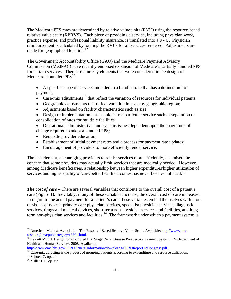The Medicare FFS rates are determined by relative value units (RVU) using the resource-based relative value scale (RBRVS). Each piece of providing a service, including physician work, practice expense, and professional liability insurance, is translated into a RVU. Physician reimbursement is calculated by totaling the RVUs for all services rendered. Adjustments are made for geographical location.<sup>[12](#page-7-0)</sup>

The Government Accountability Office (GAO) and the Medicare Payment Advisory Commission (MedPAC) have recently endorsed expansion of Medicare's partially bundled PPS for certain services. There are nine key elements that were considered in the design of Medicare's bundled  $PPS<sup>13</sup>$  $PPS<sup>13</sup>$  $PPS<sup>13</sup>$ :

• A specific scope of services included in a bundled rate that has a defined unit of payment;

- Case-mix adjustments<sup>[14](#page-7-2)</sup> that reflect the variation of resources for individual patients;
- Geographic adjustments that reflect variation in costs by geographic region;
- Adjustments based on facility characteristics such as size;
- Design or implementation issues unique to a particular service such as separation or consolidation of rates for multiple facilities;
- Operational, administrative, and systems issues dependent upon the magnitude of change required to adopt a bundled PPS;
- Requisite provider education;
- Establishment of initial payment rates and a process for payment rate updates;
- Encouragement of providers to more efficiently render service.

The last element, encouraging providers to render services more efficiently, has raised the concern that some providers may actually limit services that are medically needed. However, among Medicare beneficiaries, a relationship between higher expenditures/higher utilization of services and higher quality of care/better health outcomes has never been established.<sup>[15](#page-7-3)</sup>

*The cost of care –* There are several variables that contribute to the overall cost of a patient's care (Figure 1). Inevitably, if any of these variables increase, the overall cost of care increases. In regard to the actual payment for a patient's care, these variables embed themselves within one of six "cost types": primary care physician services, specialist physician services, diagnostic services, drugs and medical devices, short-term non-physician services and facilities, and long-term non-physician services and facilities.<sup>[16](#page-7-4)</sup> The framework under which a payment system is

<span id="page-7-0"></span><sup>1</sup> <sup>12</sup> American Medical Association. The Resource-Based Relative Value Scale. Available:  $\frac{http://www.ama-assn.org/ama/pub/category/16391.html}{}$ .

<span id="page-7-1"></span><sup>&</sup>lt;sup>[13](http://www.ama-assn.org/ama/pub/category/16391.html)</sup> Leavitt MO. A Design for a Bundled End Stage Renal Disease Prospective Payment System. US Department of Health and Human Services. 2008. Available:<br>http://www.cms.hhs.gov/ESRDGeneralInformation/downloads/ESRDReportToCongress.pdf.

<span id="page-7-2"></span> $\frac{14}{14}$  $\frac{14}{14}$  $\frac{14}{14}$  Case-mix adjusting is the process of grouping patients according to expenditure and resource utilization. 15 Schoen C, op. cit.

<span id="page-7-4"></span><span id="page-7-3"></span><sup>&</sup>lt;sup>16</sup> Miller HD, op. cit.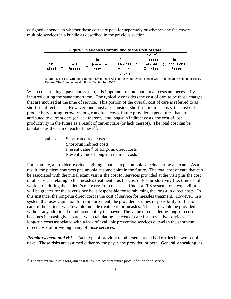designed depends on whether these costs are paid for separately or whether one fee covers multiple services in a bundle as described in the previous section.

| Figure 1. Variables Contributing to the Cost of Care |                        |  |                                |   |                               |  |                                            |                                 |
|------------------------------------------------------|------------------------|--|--------------------------------|---|-------------------------------|--|--------------------------------------------|---------------------------------|
| Cost<br>Patient                                      | Cost<br><b>Process</b> |  | No. of<br>processes<br>Service | × | No. of<br>services<br>Episode |  | No. of<br>episodes<br>of care<br>Condition | No. of<br>conditions<br>Patient |
|                                                      |                        |  |                                |   | of care                       |  |                                            |                                 |

Source: Miller HD. Creating Payment Systems to Accelerate Value-Driven Health Care: Issues and Options for Policy Reform. The Commonwealth Fund. September 2007.

When constructing a payment system, it is important to note that not all costs are necessarily incurred during the same timeframe. One typically considers the cost of care to be those charges that are incurred at the time of service. This portion of the overall cost of care is referred to as short-run direct costs. However, one must also consider short-run indirect costs, the cost of lost productivity during recovery; long-run direct costs, future provider expenditures that are attributed to current care (or lack thereof); and long-run indirect costs, the cost of lost productivity in the future as a result of current care (or lack thereof). The total cost can be tabulated as the sum of each of these<sup>[17](#page-8-0)</sup>:

Total cost = Short-run direct costs + Short-run indirect costs + Present value<sup>[18](#page-8-1)</sup> of long-run direct costs + Present value of long-run indirect costs

For example, a provider overlooks giving a patient a pneumonia vaccine during an exam. As a result, the patient contracts pneumonia at some point in the future. The total cost of care that can be associated with the initial exam visit is the cost for services provided at the visit plus the cost of all services relating to the measles treatment plus the cost of lost productivity (i.e. time off of work, etc.) during the patient's recovery from measles. Under a FFS system, total expenditures will be greater for the payer since he is responsible for reimbursing the long-run direct costs. In this instance, the long-run direct cost is the cost of service for measles treatment. However, in a system that uses capitation for reimbursement, the provider assumes responsibility for the total care of the patient, which would include treatment for measles. This care would be provided without any additional reimbursement by the payer. The value of considering long-run costs becomes increasingly apparent when tabulating the cost of care for preventive services. The long-run costs associated with a lack of available preventive services outweigh the short-run direct costs of providing many of those services.

**Reimbursement and risk** – Each type of provider reimbursement method carries its own set of risks. Those risks are assumed either by the payer, the provider, or both. Generally speaking, as

<u>.</u>

<span id="page-8-0"></span> $17$  Ibid.

<span id="page-8-1"></span> $18$  The present value of a long-run cost takes into account future price inflation for a service.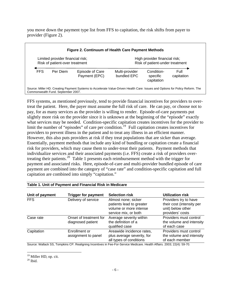you move down the payment type list from FFS to capitation, the risk shifts from payer to provider (Figure 2).

| Limited provider financial risk; |          |                                  | High provider financial risk;   |                                      |                    |
|----------------------------------|----------|----------------------------------|---------------------------------|--------------------------------------|--------------------|
| Risk of patient-over treatment   |          |                                  | Risk of patient-under treatment |                                      |                    |
| <b>FFS</b>                       | Per Diem | Episode of Care<br>Payment (EPC) | Multi-provider<br>bundled EPC   | Condition-<br>specific<br>capitation | Full<br>capitation |

FFS systems, as mentioned previously, tend to provide financial incentives for providers to overtreat the patient. Here, the payer must assume the full risk of care. He can pay, or choose not to pay, for as many services as the provider is willing to render. Episode-of-care payments put slightly more risk on the provider since it is unknown at the beginning of the "episode" exactly what services may be needed. Condition-specific capitation creates incentives for the provider to limit the number of "episodes" of care per condition.<sup>[19](#page-9-0)</sup> Full capitation creates incentives for providers to prevent illness in the patient and to treat any illness in an efficient manner. However, this also puts providers at risk if they treat populations that are sicker than average. Essentially, payment methods that include any kind of bundling or capitation create a financial risk for providers, which may cause them to under-treat their patients. Payment methods that individualize services and their associated payments (i.e. FFS) create a risk of providers overtreating their patients.[20](#page-9-1) Table 1 presents each reimbursement method with the trigger for payment and associated risks. Here, episode-of-care and multi-provider bundled episode of care payment are combined into the category of "case rate" and condition-specific capitation and full capitation are combined into simply "capitation."

| Unit of payment | <b>Trigger for payment</b>                  | <b>Selection risk</b>                                                                             | <b>Utilization risk</b>                                                                     |
|-----------------|---------------------------------------------|---------------------------------------------------------------------------------------------------|---------------------------------------------------------------------------------------------|
| <b>FFS</b>      | Delivery of service                         | Almost none; sicker<br>patients lead to greater<br>volume or more intense<br>service mix, or both | Providers try to have<br>their cost (intensity per<br>unit) below other<br>providers' costs |
| Case rate       | Onset of treatment for<br>diagnosed patient | Average severity within<br>the definition of a<br>qualified case                                  | Providers must control<br>the volume and intensity<br>of each case                          |
| Capitation      | Enrollment or<br>assignment to panel        | Areawide incidence rates,<br>plus average severity, for<br>all types of conditions                | Providers must control<br>the volume and intensity<br>of each member                        |

## **Table 1. Unit of Payment and Financial Risk in Medicare**

Source: Wallack SS, Tompkins CP. Realigning Incentives in Fee-For-Service Medicare. Health Affairs. 2003; 22(4): 59-70.

<sup>&</sup>lt;sup>19</sup> Miller HD, op. cit.

<span id="page-9-1"></span><span id="page-9-0"></span> $20$  Ibid.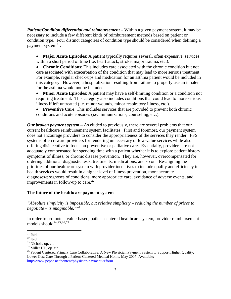*Patient/Condition differential and reimbursement* – Within a given payment system, it may be necessary to include a few different kinds of reimbursement methods based on patient or condition type. Four distinct categories of condition type should be considered when defining a payment system $^{21}$  $^{21}$  $^{21}$ :

• **Major Acute Episodes**: A patient typically requires several, often expensive, services within a short period of time (i.e. heart attack, stroke, major trauma, etc.).

• **Chronic Conditions**: This includes care associated with the chronic condition but not care associated with exacerbation of the condition that may lead to more serious treatment. For example, regular check-ups and medication for an asthma patient would be included in this category. However, a hospitalization resulting from failure to properly use an inhaler for the asthma would not be included.

• **Minor Acute Episodes**: A patient may have a self-limiting condition or a condition not requiring treatment. This category also includes conditions that could lead to more serious illness if left untreated (i.e. minor wounds, minor respiratory illness, etc.).

• **Preventive Care**: This includes services that are provided to prevent both chronic conditions and acute episodes (i.e. immunizations, counseling, etc.).

*Our broken payment system* – As eluded to previously, there are several problems that our current healthcare reimbursement system facilitates. First and foremost, our payment system does not encourage providers to consider the appropriateness of the services they render. FFS systems often reward providers for rendering unnecessary or low-value services while also offering disincentive to focus on preventive or palliative care. Essentially, providers are not adequately compensated for spending time with a patient whether it is to explore patient history, symptoms of illness, or chronic disease prevention. They are, however, overcompensated for ordering additional diagnostic tests, treatments, medications, and so on. Re-aligning the priorities of our healthcare system with provider incentives to include quality and efficiency in health services would result in a higher level of illness prevention, more accurate diagnoses/prognoses of conditions, more appropriate care, avoidance of adverse events, and improvements in follow-up to care.<sup>[22](#page-10-1)</sup>

## **The future of the healthcare payment system**

*"Absolute simplicity is impossible, but relative simplicity – reducing the number of prices to negotiate – is imaginable."[23](#page-10-2)*

In order to promote a value-based, patient-centered healthcare system, provider reimbursement models should<sup>[24](#page-10-3),[25](#page-10-4),[26](#page-10-1),[27](#page-10-2)</sup>.

 $\overline{a}$  $21$  Ibid.

<span id="page-10-1"></span><span id="page-10-0"></span> $^{22}$  Ibid.

<span id="page-10-2"></span><sup>23</sup> Nichols, op. cit.

<span id="page-10-3"></span><sup>&</sup>lt;sup>24</sup> Miller HD, op. cit.

<span id="page-10-4"></span><sup>&</sup>lt;sup>25</sup> Patient Centered Primary Care Collaborative. A New Physician Payment System to Support Higher Quality, Lower Cost Care Through a Patient-Centered Medical Home. May 2007. Available: [http://www.pcpcc.net/content/physician-payment-reform.](http://www.pcpcc.net/content/physician-payment-reform)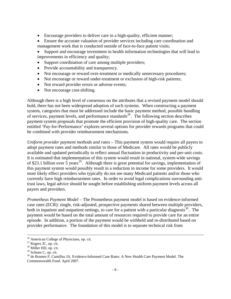- Encourage providers to deliver care in a high-quality, efficient manner;
- Ensure the accurate valuation of provider services including care coordination and management work that is conducted outside of face-to-face patient visits;
- Support and encourage investment in health information technologies that will lead to improvements in efficiency and quality;
- Support coordination of care among multiple providers;
- Provide accountability and transparency.
- Not encourage or reward over-treatment or medically unnecessary procedures;
- Not encourage or reward under-treatment or exclusion of high-risk patients;
- Not reward provider errors or adverse events;
- Not encourage cost-shifting.

Although there is a high level of consensus on the attributes that a revised payment model should hold, there has not been widespread adoption of such systems. When constructing a payment system, categories that must be addressed include the basic payment method, possible bundling of services, payment levels, and performance standards<sup>[28](#page-11-0)</sup>. The following section describes payment system proposals that promote the efficient provision of high-quality care. The section entitled 'Pay-for-Performance' explores several options for provider rewards programs that could be combined with provider reimbursement mechanisms.

*Uniform provider payment methods and rates* – This payment system would require all payers to adopt payment rates and methods similar to those of Medicare. All rates would be publicly available and updated periodically to reflect annual fluctuation in productivity and per-unit costs. It is estimated that implementation of this system would result in national, system-wide savings of \$23.1 billion over 5 years<sup>[29](#page-11-1)</sup>. Although there is great potential for savings, implementation of this payment system would possibly result in a reduction in income for some providers. It would most likely effect providers who typically do not see many Medicaid patients and/or those who currently have high reimbursement rates. In order to avoid legal complications surrounding antitrust laws, legal advice should be sought before establishing uniform payment levels across all payers and providers.

*Prometheus Payment Model* – The Prometheus payment model is based on evidence-informed case rates (ECR): single, risk-adjusted, prospective payments shared between multiple providers, both in inpatient and outpatient settings, to care for a patient with a particular diagnosis $30$ . The payment would be based on the total amount of resources required to provide care for an entire episode. In addition, a portion of the payment would be withheld and re-distributed based on provider performance. The foundation of this model is to separate technical risk from

<sup>&</sup>lt;sup>26</sup> American College of Physicians, op. cit.<br><sup>27</sup> Rogers JC, op. cit.

<span id="page-11-0"></span><sup>&</sup>lt;sup>28</sup> Miller HD, op. cit.

<span id="page-11-1"></span><sup>&</sup>lt;sup>29</sup> Schoen C, op. cit.

<span id="page-11-2"></span><sup>&</sup>lt;sup>30</sup> de Brantes F, Camillus JA. Evidence-Informed Case Rates: A New Health Care Payment Model. The Commonwealth Fund. April 2007.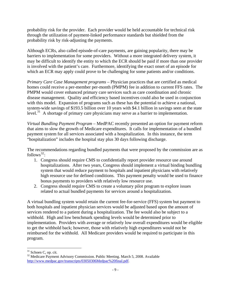probability risk for the provider. Each provider would be held accountable for technical risk through the utilization of payment-linked performance standards but shielded from the probability risk by risk-adjusting the payments.

Although ECRs, also called episode-of-care payments, are gaining popularity, there may be barriers to implementation for some providers. Without a more integrated delivery system, it may be difficult to identify the entity to which the ECR should be paid if more than one provider is involved with the patient's care. Furthermore, identifying the exact onset of an episode for which an ECR may apply could prove to be challenging for some patients and/or conditions.

*Primary Care Case Management programs* – Physician practices that are certified as medical homes could receive a per-member per-month (PMPM) fee in addition to current FFS rates. The PMPM would cover enhanced primary care services such as care coordination and chronic disease management. Quality and efficiency based incentives could also be used in conjunction with this model. Expansion of programs such as these has the potential to achieve a national, system-wide savings of \$193.5 billion over 10 years with \$4.1 billion in savings seen at the state level.<sup>[31](#page-12-0)</sup> A shortage of primary care physicians may serve as a barrier to implementation.

*Virtual Bundling Payment Program* – MedPAC recently presented an option for payment reform that aims to slow the growth of Medicare expenditures. It calls for implementation of a bundled payment system for all services associated with a hospitalization. In this instance, the term "hospitalization" includes the hospital stay plus 30 days following discharge.

The recommendations regarding bundled payments that were proposed by the commission are as follows<sup>[32](#page-12-1)</sup>:

- 1. Congress should require CMS to confidentially report provider resource use around hospitalizations. After two years, Congress should implement a virtual binding bundling system that would reduce payment to hospitals and inpatient physicians with relatively high resource use for defined conditions. This payment penalty would be used to finance bonus payments to providers with relatively low resource use.
- 2. Congress should require CMS to create a voluntary pilot program to explore issues related to actual bundled payments for services around a hospitalization.

A virtual bundling system would retain the current fee-for-service (FFS) system but payment to both hospitals and inpatient physician services would be adjusted based upon the amount of services rendered to a patient during a hospitalization. The fee would also be subject to a withhold. High and low benchmark spending levels would be determined prior to implementation. Providers with average or relatively low overall expenditures would be eligible to get the withhold back; however, those with relatively high expenditures would not be reimbursed for the withhold. All Medicare providers would be required to participate in this program.

<span id="page-12-0"></span><sup>&</sup>lt;sup>31</sup> Schoen C, op. cit.

<span id="page-12-1"></span><sup>&</sup>lt;sup>32</sup> Medicare Payment Advisory Commission. Public Meeting. March 5, 2008. Available [http://www.medpac.gov/transcripts/03050306Medpac%20final.pdf.](http://www.medpac.gov/transcripts/03050306Medpac%20final.pdf)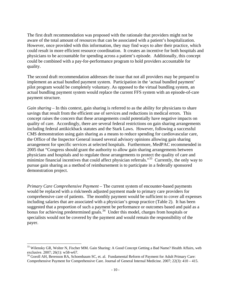The first draft recommendation was proposed with the rationale that providers might not be aware of the total amount of resources that can be associated with a patient's hospitalization. However, once provided with this information, they may find ways to alter their practice, which could result in more efficient resource coordination. It creates an incentive for both hospitals and physicians to be accountable for spending across a patient's episode. Additionally, this concept could be combined with a pay-for-performance program to hold providers accountable for quality.

The second draft recommendation addresses the issue that not all providers may be prepared to implement an actual bundled payment system. Participation in the 'actual bundled payment' pilot program would be completely voluntary. As opposed to the virtual bundling system, an actual bundling payment system would replace the current FFS system with an episode-of-care payment structure.

*Gain sharing* – In this context, gain sharing is referred to as the ability for physicians to share savings that result from the efficient use of services and reductions in medical errors. This concept raises the concern that these arrangements could potentially have negative impacts on quality of care. Accordingly, there are several federal restrictions on gain sharing arrangements including federal antikickback statutes and the Stark Laws. However, following a successful CMS demonstration using gain sharing as a means to reduce spending for cardiovascular care, the Office of the Inspector General issued several advisory opinions allowing gain sharing arrangement for specific services at selected hospitals. Furthermore, MedPAC recommended in 2005 that "Congress should grant the authority to allow gain sharing arrangements between physicians and hospitals and to regulate those arrangements to protect the quality of care and minimize financial incentives that could affect physician referrals."<sup>[33](#page-13-0)</sup> Currently, the only way to pursue gain sharing as a method of reimbursement is to participate in a federally sponsored demonstration project.

*Primary Care Comprehensive Payment* – The current system of encounter-based payments would be replaced with a risk/needs adjusted payment made to primary care providers for comprehensive care of patients. The monthly payment would be sufficient to cover all expenses including salaries that are associated with a physician's group practice (Table 2). It has been suggested that a proportion of such a payment be performance or outcomes based and paid as a bonus for achieving predetermined goals.<sup>[34](#page-13-1)</sup> Under this model, charges from hospitals or specialists would not be covered by the payment and would remain the responsibility of the payer.

1

<span id="page-13-0"></span><sup>&</sup>lt;sup>33</sup> Wilensky GR, Wolter N, Fischer MM. Gain Sharing: A Good Concept Getting a Bad Name? Health Affairs, web exclusive. 2007; 26(1): w58-w67.

<span id="page-13-1"></span><sup>&</sup>lt;sup>34</sup> Goroll AH, Berenson RA, Schoenbaum SC, et. al. Fundamental Reform of Payment for Adult Primary Care: Comprehensive Payment for Comprehensive Care. Journal of General Internal Medicine. 2007; 22(3): 410 – 415.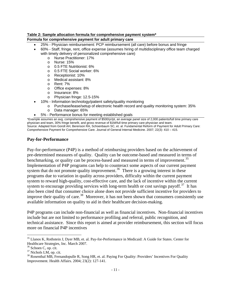### **Table 2: Sample allocation formula for comprehensive payment system\***

## **Formula for comprehensive payment for adult primary care**

- 25% Physician reimbursement: PCP reimbursement (all care) before bonus and fringe
- 60% Staff, fringe, rent, office expense (assumes hiring of multidisciplinary office team charged with timely delivery of personalized comprehensive care)
	- o Nurse Practitioner: 17%
	- o Nurse: 15%
	- o 0.5 FTE Nutritionist: 6%
	- o 0.5 FTE Social worker: 6%
	- o Receptionist: 10%
	- o Medical assistant: 8%
	- o Rent: 7%
	- o Office expenses: 8%
	- o Insurance: 8%
	- o Physician fringe: 12.5-15%
- 10% Information technology/patient safety/quality monitoring
	- o Purchase/lease/setup of electronic health record and quality monitoring system: 35%
	- o Data manager: 65%
	- 5% Performance bonus for meeting established goals

\*Example assumes an avg. comprehensive payment of \$500/yr/pt, an average panel size of 2,000 patients/full time primary care physician and team, 30% fringe benefit, and gross revenue of \$1M/full time primary care physician and team. Source: Adapted from Goroll AH, Berenson RA, Schoenbaum SC, et. al. Fundamental Reform of Payment for Adult Primary Care: Comprehensive Payment for Comprehensive Care. Journal of General Internal Medicine. 2007; 22(3): 410 – 415.

## **Pay-for-Performance**

Pay-for-performance (P4P) is a method of reimbursing providers based on the achievement of pre-determined measures of quality. Quality can be outcome-based and measured in terms of benchmarking, or quality can be process-based and measured in terms of improvement.<sup>[35](#page-14-0)</sup> Implementation of P4P programs can help to counteract some aspects of our current payment system that do not promote quality improvement.<sup>[36](#page-14-1)</sup> There is a growing interest in these programs due to variation in quality across providers, difficulty within the current payment system to reward high-quality, cost-effective care, and the lack of incentive within the current system to encourage providing services with long-term health or cost savings payoff.<sup>[37](#page-14-2)</sup> It has also been cited that consumer choice alone does not provide sufficient incentive for providers to improve their quality of care.<sup>[38](#page-14-3)</sup> Moreover, it has not been shown that consumers consistently use available information on quality to aid in their healthcare decision-making.

P4P programs can include non-financial as well as financial incentives. Non-financial incentives include but are not limited to performance profiling and referral, public recognition, and technical assistance. Since this report is aimed at provider reimbursement, this section will focus more on financial P4P incentives

<span id="page-14-0"></span><sup>&</sup>lt;sup>35</sup> Llanos K, Rothstein J, Dyer MB, et. al. Pay-for-Performance in Medicaid: A Guide for States. Center for Healthcare Strategies, Inc. March 2007.

<span id="page-14-1"></span><sup>&</sup>lt;sup>36</sup> Schoen C, op. cit.

<span id="page-14-2"></span><sup>&</sup>lt;sup>37</sup> Nichols LM, op. cit.

<span id="page-14-3"></span><sup>&</sup>lt;sup>38</sup> Rosenthal MB, Fernandopulle R, Song HR, et. al. Paying For Quality: Providers' Incentives For Quality Improvement. Health Affairs. 2004; 23(2): 127-141.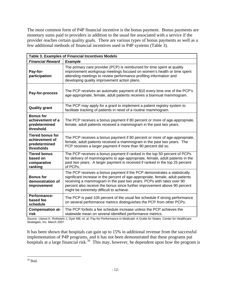The most common form of P4P financial incentive is the bonus payment. Bonus payments are monetary sums paid to providers in addition to the usual fee associated with a service if the provider reaches certain quality goals. There are various types of bonus payments as well as a few additional methods of financial incentives used in P4P systems (Table 3).

|                                                                          | <b>Table 3. Examples of Financial Incentives Models</b>                                                                                                                                                                                                                                                                                                     |
|--------------------------------------------------------------------------|-------------------------------------------------------------------------------------------------------------------------------------------------------------------------------------------------------------------------------------------------------------------------------------------------------------------------------------------------------------|
| <b>Financial Reward</b>                                                  | <b>Example</b>                                                                                                                                                                                                                                                                                                                                              |
| Pay-for-<br>participation                                                | The primary care provider (PCP) is reimbursed for time spent at quality<br>improvement workgroup meetings focused on women's health or time spent<br>attending meetings to review performance profiling information and<br>developing quality improvement action plans.                                                                                     |
| Pay-for-process                                                          | The PCP receives an automatic payment of \$10 every time one of the PCP's<br>age-appropriate, female, adult patients receives a biannual mammogram.                                                                                                                                                                                                         |
| <b>Quality grant</b>                                                     | The PCP may apply for a grant to implement a patient registry system to<br>facilitate tracking of patients in need of a routine mammogram.                                                                                                                                                                                                                  |
| <b>Bonus for</b><br>achievement of a<br>predetermined<br>threshold       | The PCP receives a bonus payment if 80 percent or more of age-appropriate,<br>female, adult patients received a mammogram in the past two years.                                                                                                                                                                                                            |
| <b>Tiered bonus for</b><br>achievement of<br>predetermined<br>thresholds | The PCP receives a bonus payment if 80 percent or more of age-appropriate,<br>female, adult patients received a mammogram in the past two years. The<br>PCP receives a larger payment if more than 90 percent did so.                                                                                                                                       |
| <b>Tiered bonus</b><br>based on<br>comparative<br>ranking                | The PCP receives a bonus payment if ranked in the top 50 percent of PCPs<br>for delivery of mammograms to age-appropriate, female, adult patients in the<br>past two years. A larger payment is received if ranked in the top 25 percent<br>of PCPs.                                                                                                        |
| <b>Bonus for</b><br>demonstration of<br>improvement                      | The PCP receives a bonus payment if the PCP demonstrates a statistically<br>significant increase in the percent of age-appropriate, female, adult patients<br>receiving a mammogram in the past two years. PCPs with rates over 90<br>percent also receive the bonus since further improvement above 90 percent<br>might be extremely difficult to achieve. |
| Performance-<br>based fee<br>schedule                                    | The PCP is paid 105 percent of the usual fee schedule if strong performance<br>on several performance metrics distinguishes the PCP from other PCPs.                                                                                                                                                                                                        |
| <b>Compensation at-</b><br>risk                                          | The PCP forfeits a fee schedule increase unless the PCP achieves the<br>statewide mean on several identified performance metrics.                                                                                                                                                                                                                           |

Source: Llanos K, Rothstein J, Dyer MB, et. al. Pay-for-Performance in Medicaid: A Guide for States. Center for Healthcare Strategies, Inc. March 2007.

It has been shown that hospitals can gain up to 15% in additional revenue from the successful implementation of P4P programs, and it has not been demonstrated that these programs put hospitals at a large financial risk.<sup>[39](#page-15-0)</sup> This may, however, be dependent upon how the program is

<span id="page-15-0"></span> $\overline{a}$ 39 Ibid.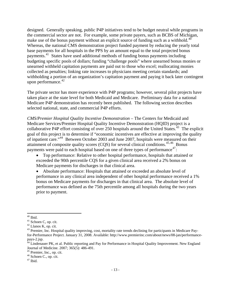designed. Generally speaking, public P4P initiatives tend to be budget neutral while programs in the commercial sector are not. For example, some private payers, such as BCBS of Michigan, make use of the bonus payment without an explicit source of funding such as a withhold.<sup>[40](#page-16-0)</sup> Whereas, the national CMS demonstration project funded payment by reducing the yearly total base payments for all hospitals in the PPS by an amount equal to the total projected bonus payments.[41](#page-16-1) States have used additional methods of funding bonus payments including budgeting specific pools of dollars; funding "challenge pools" where unearned bonus monies or unearned withheld capitation payments are paid out to those who excel; reallocating monies collected as penalties; linking rate increases to physicians meeting certain standards; and withholding a portion of an organization's capitation payment and paying it back later contingent upon performance. $42$ 

The private sector has more experience with P4P programs; however, several pilot projects have taken place at the state level for both Medicaid and Medicare. Preliminary data for a national Medicare P4P demonstration has recently been published. The following section describes selected national, state, and commercial P4P efforts.

*CMS/Premier Hospital Quality Incentive Demonstration* – The Centers for Medicaid and Medicare Services/Premier Hospital Quality Incentive Demonstration (HQID) project is a collaborative P4P effort consisting of over 250 hospitals around the United States.<sup>[43](#page-16-3)</sup> The explicit goal of this project is to determine if "economic incentives are effective at improving the quality of inpatient care."[44](#page-16-4) Between October 2003 and June 2007, hospitals were measured on their attainment of composite quality scores  $(CQS)$  for several clinical conditions.<sup>[45](#page-16-5),[46](#page-16-6)</sup> Bonus payments were paid to each hospital based on one of three types of performance $47$ :

• Top performance: Relative to other hospital performance, hospitals that attained or exceeded the 90th percentile CQS for a given clinical area received a 2% bonus on Medicare payments for discharges in that clinical area.

• Absolute performance: Hospitals that attained or exceeded an absolute level of performance in any clinical area independent of other hospital performance received a 1% bonus on Medicare payments for discharges in that clinical area. The absolute level of performance was defined as the 75th percentile among all hospitals during the two years prior to payment.

1

 $40$  Ibid.

<span id="page-16-1"></span><span id="page-16-0"></span><sup>&</sup>lt;sup>41</sup> Schoen C, op. cit.

<span id="page-16-2"></span><sup>42</sup> Llanos K, op. cit.

<span id="page-16-3"></span><sup>&</sup>lt;sup>43</sup> Premier, Inc. Hospital quality improving, cost, mortality rate trends declining for participants in Medicare Payfor-Performance Project. January 31, 2008. Available: http://www.premierinc.com/about/news/08-jan/performancepays-2.jsp.

<span id="page-16-4"></span> $^{44}$  Lindenauer PK, et al. Public reporting and Pay for Performance in Hospital Quality Improvement. New England Journal of Medicine. 2007; 365(5): 486-491.

<span id="page-16-5"></span><sup>45</sup> Premier, Inc., op. cit.

<span id="page-16-6"></span><sup>&</sup>lt;sup>46</sup> Schoen C., op. cit.

<span id="page-16-7"></span> $^{47}$  Ibid.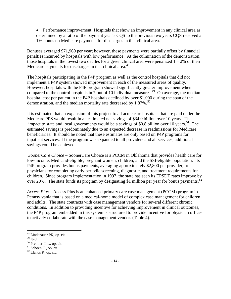• Performance improvement: Hospitals that show an improvement in any clinical area as determined by a ratio of the payment year's CQS to the previous two years CQS received a 1% bonus on Medicare payments for discharges in that clinical area.

Bonuses averaged \$71,960 per year; however, these payments were partially offset by financial penalties incurred by hospitals with low performance. At the culmination of the demonstration, those hospitals in the lowest two deciles for a given clinical area were penalized  $1 - 2\%$  of their Medicare payments for discharges in that clinical area.<sup>[48](#page-17-0)</sup>

The hospitals participating in the P4P program as well as the control hospitals that did not implement a P4P system showed improvement in each of the measured areas of quality. However, hospitals with the P4P program showed significantly greater improvement when compared to the control hospitals in  $\frac{1}{2}$  out of 10 individual measures.<sup>[49](#page-17-1)</sup> On average, the median hospital cost per patient in the P4P hospitals declined by over \$1,000 during the span of the demonstration, and the median mortality rate decreased by  $1.87\%$ .<sup>[50](#page-17-2)</sup>

It is estimated that an expansion of this project to all acute care hospitals that are paid under the Medicare PPS would result in an estimated net savings of \$34.0 billion over 10 years. The impact to state and local governments would be a savings of \$0.8 billion over 10 years.<sup>[51](#page-17-3)</sup> The estimated savings is predominately due to an expected decrease in readmissions for Medicare beneficiaries. It should be noted that these estimates are only based on P4P programs for inpatient services. If the program was expanded to all providers and all services, additional savings could be achieved.

*SoonerCare Choice* – SoonerCare Choice is a PCCM in Oklahoma that provides health care for low-income, Medicaid-eligible, pregnant women; children; and the SSI-eligible population. Its P4P program provides bonus payments, averaging approximately \$2,800 per provider, to physicians for completing early periodic screening, diagnostic, and treatment requirements for children. Since program implementation in 1997, the state has seen its EPSDT rates improve by over 20%. The state funds its program by designating \$1 million per year for bonus payments.<sup>[52](#page-17-4)</sup>

*Access Plus* – Access Plus is an enhanced primary care case management (PCCM) program in Pennsylvania that is based on a medical-home model of complex case management for children and adults. The state contracts with case management vendors for several different chronic conditions. In addition to providing incentive for achieving improvement in clinical outcomes, the P4P program embedded in this system is structured to provide incentive for physician offices to actively collaborate with the case management vendor. (Table 4).

1

<sup>&</sup>lt;sup>48</sup> Lindenauer PK, op. cit.

<span id="page-17-0"></span> $49$  Ibid.

<span id="page-17-2"></span><span id="page-17-1"></span><sup>&</sup>lt;sup>50</sup> Premier, Inc., op. cit.

<span id="page-17-3"></span><sup>51</sup> Schoen C., op. cit.

<span id="page-17-4"></span><sup>52</sup> Llanos K, op. cit.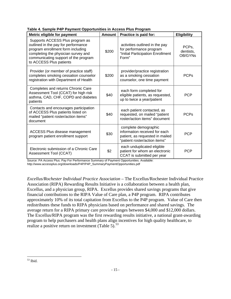| Metric eligible for payment                                                                                                                                                                                           | <b>Amount</b> | Practice is paid for:                                                                                                     | <b>Eligibility</b>                       |
|-----------------------------------------------------------------------------------------------------------------------------------------------------------------------------------------------------------------------|---------------|---------------------------------------------------------------------------------------------------------------------------|------------------------------------------|
| Supports ACCESS Plus program as<br>outlined in the pay for performance<br>program enrollment form including<br>completing the physician survey and<br>communicating support of the program<br>to ACCESS Plus patients | \$200         | activities outlined in the pay<br>for performance program<br>"Initial Participation Enrollment<br>Form"                   | PCP <sub>s</sub><br>dentists,<br>OB/GYNs |
| Provider (or member of practice staff)<br>completes smoking cessation counselor<br>registration with Department of Health                                                                                             | \$200         | provider/practice registration<br>as a smoking cessation<br>counselor, one time payment                                   | <b>PCPs</b>                              |
| Completes and returns Chronic Care<br>Assessment Tool (CCAT) for high risk<br>asthma, CAD, CHF, COPD and diabetes<br>patients                                                                                         | \$40          | each form completed for<br>eligible patients, as requested,<br>up to twice a year/patient                                 | <b>PCP</b>                               |
| Contacts and encourages participation<br>of ACCESS Plus patients listed on<br>mailed "patient roster/action items"<br>document                                                                                        | \$40          | each patient contacted, as<br>requested, on mailed "patient<br>roster/action items" document                              | <b>PCPs</b>                              |
| ACCESS Plus disease management<br>program patient enrollment support                                                                                                                                                  | \$30          | complete demographic<br>information received for each<br>patient, as requested in mailed<br>"patient roster/action items" | <b>PCP</b>                               |
| Electronic submission of a Chronic Care<br>Assessment Tool (CCAT)                                                                                                                                                     | \$2           | each unduplicated eligible<br>patient for whom an electronic<br>CCAT is submitted per year                                | <b>PCP</b>                               |

**Table 4. Sample P4P Payment Opportunities in Access Plus Program** 

Source: PA Access Plus. Pay For Performance Summary of Payment Opportunities. Available: http://www.accessplus.org/downloads/P4P/P4P\_SummaryPaymentOpportunities.pdf

*Excellus/Rochester Individual Practice Association* – The Excellus/Rochester Individual Practice Association (RIPA) Rewarding Results Initiative is a collaboration between a health plan, Excellus, and a physician group, RIPA. Excellus provides shared savings programs that give financial contributions to the RIPA Value of Care plan, a P4P program. RIPA contributes approximately 10% of its total capitation from Excellus to the P4P program. Value of Care then redistributes these funds to RIPA physicians based on performance and shared savings. The average return for a RIPA primary care provider ranges between \$4,000 and \$12,000 dollars. The Excellus/RIPA program was the first rewarding results initiative, a national grant-awarding program to help purchasers and health plans align incentives for high quality healthcare, to realize a positive return on investment (Table 5). $53$ 

<span id="page-18-0"></span> $\overline{a}$  $53$  Ibid.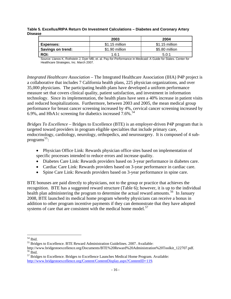### **Table 5. Excellus/RIPA Return On Investment Calculations – Diabetes and Coronary Artery Disease**

|                   | 2003           | 2004           |
|-------------------|----------------|----------------|
| Expenses:         | \$1.15 million | \$1.15 million |
| Savings on trend: | \$1.90 million | \$5.80 million |
| <b>ROI:</b>       | 1.6:1          | 5.0:1          |

Source: Llanos K, Rothstein J, Dyer MB, et. al. Pay-for-Performance in Medicaid: A Guide for States. Center for Healthcare Strategies, Inc. March 2007.

*Integrated Healthcare Association* – The Integrated Healthcare Association (IHA) P4P project is a collaborative that includes 7 California health plans, 225 physician organizations, and over 35,000 physicians. The participating health plans have developed a uniform performance measure set that covers clinical quality, patient satisfaction, and investment in information technology. Since its implementation, the health plans have seen a 40% increase in patient visits and reduced hospitalizations. Furthermore, between 2003 and 2005, the mean medical group performance for breast cancer screening increased by 4%, cervical cancer screening increased by 6.9%, and HbA1c screening for diabetics increased 7.6%.<sup>[54](#page-19-0)</sup>

*Bridges To Excellence* – Bridges to Excellence (BTE) is an employer-driven P4P program that is targeted toward providers in program eligible specialties that include primary care, endocrinology, cardiology, neurology, orthopedics, and neurosurgery. It is composed of 4 sub-programs<sup>[55](#page-19-1)</sup>:

- Physician Office Link: Rewards physician office sites based on implementation of specific processes intended to reduce errors and increase quality.
- Diabetes Care Link: Rewards providers based on 3-year performance in diabetes care.
- Cardiac Care Link: Rewards providers based on 3-year performance in cardiac care.
- Spine Care Link: Rewards providers based on 3-year performance in spine care.

BTE bonuses are paid directly to physicians, not to the group or practice that achieves the recognition. BTE has a suggested reward structure (Table 6); however, it is up to the individual health plan administering the program to determine the actual reward amounts.<sup>[56](#page-19-2)</sup> In January 2008, BTE launched its medical home program whereby physicians can receive a bonus in addition to other program incentive payments if they can demonstrate that they have adopted systems of care that are consistent with the medical home model.<sup>[57](#page-19-3)</sup>

<span id="page-19-0"></span><sup>54</sup> Ibid.

<span id="page-19-1"></span><sup>&</sup>lt;sup>55</sup> Bridges to Excellence. BTE Reward Administration Guidelines. 2007. Available:

http://www.bridgestoexcellence.org/Documents/BTE%20Reward%20Administration%20Toolkit\_122707.pdf. 56 Ibid.

<span id="page-19-3"></span><span id="page-19-2"></span><sup>&</sup>lt;sup>57</sup> Bridges to Excellence. Bridges to Excellence Launches Medical Home Program. Available: <http://www.bridgestoexcellence.org/Content/ContentDisplay.aspx?ContentID=119>.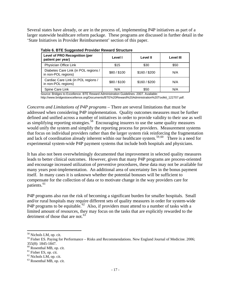Several states have already, or are in the process of, implementing P4P initiatives as part of a larger statewide healthcare reform package. These programs are discussed in further detail in the 'State Initiatives in Provider Reimbursement' section of this paper.

| apio oi BTE Ouggootoa i Toviaoi Ttomara Otraotaro           |            |               |                  |  |  |
|-------------------------------------------------------------|------------|---------------|------------------|--|--|
| <b>Level of PRO Recognition (per</b><br>patient per year)   | Level I    | Level II      | <b>Level III</b> |  |  |
| Physician Office Link                                       | \$15       | \$30          | \$50             |  |  |
| Diabetes Care Link (in POL regions /<br>in non-POL regions) | \$80/\$100 | \$160 / \$200 | N/A              |  |  |
| Cardiac Care Link (in POL regions /<br>in non-POL regions)  | \$80/\$100 | \$160 / \$200 | N/A              |  |  |
| Spine Care Link                                             | N/A        | \$50          | N/A              |  |  |

|  |  | Table 6. BTE Suggested Provider Reward Structure |  |  |  |
|--|--|--------------------------------------------------|--|--|--|
|--|--|--------------------------------------------------|--|--|--|

Source: Bridges to Excellence. BTE Reward Administration Guidelines. 2007. Available:

http://www.bridgestoexcellence.org/Documents/BTE%20Reward%20Administration%20Toolkit\_122707.pdf.

*Concerns and Limitations of P4P programs* – There are several limitations that must be addressed when considering P4P implementation. Quality outcomes measures must be further defined and unified across a number of initiatives in order to provide validity to their use as well as simplifying reporting strategies.<sup>[58](#page-20-0)</sup> Encouraging insurers to use the same quality measures would unify the system and simplify the reporting process for providers. Measurement systems that focus on individual providers rather than the larger system risk reinforcing the fragmentation and lack of coordination already inherent within our healthcare system.<sup>[59](#page-20-1),[60](#page-20-2)</sup> There is a need for experimental system-wide P4P payment systems that include both hospitals and physicians.

It has also not been overwhelmingly documented that improvement in selected quality measures leads to better clinical outcomes. However, given that many P4P programs are process-oriented and encourage increased utilization of preventive procedures, these data may not be available for many years post-implementation. An additional area of uncertainty lies in the bonus payment itself. In many cases it is unknown whether the potential bonuses will be sufficient to compensate for the collection of data or to motivate change in the way providers care for patients.<sup>[61](#page-20-3)</sup>

P4P programs also run the risk of becoming a significant burden for smaller hospitals. Small and/or rural hospitals may require different sets of quality measures in order for system-wide P4P programs to be equitable.<sup>[62](#page-20-4)</sup> Also, if providers must attend to a number of tasks with a limited amount of resources, they may focus on the tasks that are explicitly rewarded to the detriment of those that are not. $63$ 

<span id="page-20-0"></span><sup>58</sup> Nichols LM, op. cit.

<span id="page-20-1"></span><sup>59</sup> Fisher ES. Paying for Performance – Risks and Recommendations. New England Journal of Medicine. 2006; 355(8): 1845-1847.

<span id="page-20-2"></span><sup>60</sup> Rosenthal MB, op. cit.

<span id="page-20-3"></span> $<sup>61</sup>$  Fisher ES, op. cit.</sup>

<span id="page-20-4"></span> $62$  Nichols LM, op. cit.

<span id="page-20-5"></span><sup>63</sup> Rosenthal MB, op. cit.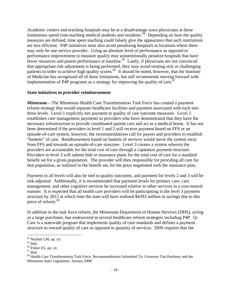Academic centers and teaching hospitals may be at a disadvantage since physicians at these institutions spend time teaching medical students and residents. $\frac{64}{9}$  $\frac{64}{9}$  $\frac{64}{9}$  Depending on how the quality measures are defined, time spent teaching could falsely give the appearance that such institutions are less efficient. P4P initiatives must also avoid penalizing hospitals in locations where there may only be one service provider. Using an absolute level of performance as opposed to performance improvement to measure quality may unintentionally penalize hospitals that have fewer resources and poorer performance at baseline.<sup>[65](#page-21-1)</sup> Lastly, if physicians are not convinced that appropriate risk adjustment is being performed, they may avoid treating sick or challenging patients in order to achieve high quality scores.<sup>[66](#page-21-2)</sup> It should be noted, however, that the Institute of Medicine has recognized all of these limitations, but still recommends moving forward with implementation of P4P programs as a strategy for improving the quality of care.<sup>[67](#page-21-3)</sup>

### **State initiatives in provider reimbursement**

*Minnesota* – The Minnesota Health Care Transformation Task Force has created a payment reform strategy that would separate healthcare facilities and payment associated with each into three levels. Level 1 explicitly ties payment to quality of care outcome measures. Level 2 establishes care management payments to providers who have demonstrated that they have the necessary infrastructure to provide coordinated patient care and act as a medical home. It has not been determined if the providers in level 1 and 2 will receive payment based on FFS or an episode-of-care system, however, the recommendations call for payers and providers to establish "baskets" of care. Reimbursement based on baskets of services would move the system away from FFS and towards an episode-of-care structure. Level 3 creates a system wherein the providers are accountable for the total cost of care through a capitation payment structure. Providers in level 3 will submit bids to insurance plans for the total cost of care for a standard benefit set for a given population. The provider will then responsible for providing all care for that population, as outlined in the benefit set, for the price negotiated with the insurance plan.

Payment in all levels will also be tied to quality outcomes, and payment for levels 2 and 3 will be risk-adjusted. Additionally, it is recommended that payment levels for primary care, care management, and other cognitive services be increased relative to other services in a cost-neutral manner. It is expected that all health care providers will be participating in the level 3 payment structure by 2012 at which time the state will have realized \$4393 million in savings due to this piece of reform.<sup>[68](#page-21-4)</sup>

In addition to the task force reform, the Minnesota Department of Human Services (DHS), acting as a large purchaser, has endeavored in several healthcare reform strategies including P4P. Q-Care is a statewide program that implements quality of care standards and defines a payment structure to reward quality of care as opposed to quantity of services. DHS requires that the

1

<sup>&</sup>lt;sup>64</sup> Nichols LM, op. cit.

<span id="page-21-1"></span><span id="page-21-0"></span> $65$  Ibid.

<span id="page-21-2"></span><sup>&</sup>lt;sup>66</sup> Fisher ES, op. cit.

<span id="page-21-3"></span> $^{67}$  Ibid.

<span id="page-21-4"></span><sup>&</sup>lt;sup>68</sup> Health Care Transformation Task Force. Recommendations Submitted To: Governor Tim Pawlenty and the Minnesota State Legislature. January 2008.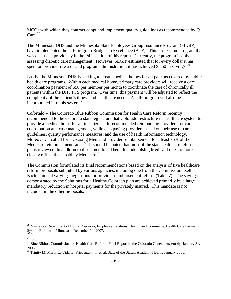MCOs with which they contract adopt and implement quality guidelines as recommended by Q- $Care.$ <sup>[69](#page-22-0)</sup>

The Minnesota DHS and the Minnesota State Employees Group Insurance Program (SEGIP) have implemented the P4P program Bridges to Excellence (BTE). This is the same program that was discussed previously in the P4P section of this report. Currently, the program is only assessing diabetic care management. However, SEGIP estimated that for every dollar it has spent on provider rewards and program administration, it has achieved \$5.60 in savings.<sup>[70](#page-22-1)</sup>

Lastly, the Minnesota DHS is seeking to create medical homes for all patients covered by public health care programs. Within each medical home, primary care providers will receive a care coordination payment of \$50 per member per month to coordinate the care of chronically ill patients within the DHS FFS program. Over time, this payment will be adjusted to reflect the complexity of the patient's illness and healthcare needs. A P4P program will also be incorporated into this system. $^{71}$  $^{71}$  $^{71}$ 

*Colorado* – The Colorado Blue Ribbon Commission for Health Care Reform recently recommended to the Colorado state legislature that Colorado restructure its healthcare system to provide a medical home for all its citizens. It recommended reimbursing providers for care coordination and case management, while also paying providers based on their use of care guidelines, quality performance measures, and the use of health information technology. Moreover, it called for increasing Medicaid provider reimbursement to at least 75% of the Medicare reimbursement rates.<sup>[72](#page-22-3)</sup> It should be noted that most of the state healthcare reform plans reviewed, in addition to those mentioned here, include raising Medicaid rates to more closely reflect those paid by Medicare.<sup>[73](#page-22-4)</sup>

The Commission formulated its final recommendations based on the analysis of five healthcare reform proposals submitted by various agencies, including one from the Commission itself. Each plan had varying suggestions for provider reimbursement reform (Table 7). The savings demonstrated by the Solutions for a Healthy Colorado plan are achieved primarily by a large mandatory reduction in hospital payments for the privately insured. This mandate is not included in the other proposals.

<span id="page-22-0"></span><sup>&</sup>lt;sup>69</sup> Minnesota Department of Human Services, Employee Relations, Health, and Commerce. Health Care Payment System Reform in Minnesota. December 14, 2007.

 $70$  Ibid.

<span id="page-22-2"></span><span id="page-22-1"></span> $^{71}$  Ibid.

<span id="page-22-3"></span> $72$  Blue Ribbon Commission for Health Care Reform. Final Report to the Colorado General Assembly. January 31, 2008.

<span id="page-22-4"></span><sup>73</sup> Trinity M, Martinez-Vidal E, Friedenzohn I, et. al. State of the States. Academy Health. January 2008.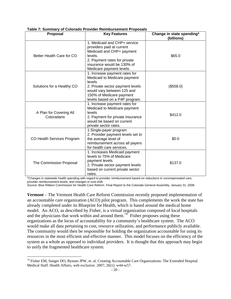| apiv II Jahnnary Jr Jolorado I Totlaor Rombardonioni I To<br><b>Proposal</b> | <b>Key Features</b>                                                                                                                                                                                     | Change in state spending*<br>(billions) |
|------------------------------------------------------------------------------|---------------------------------------------------------------------------------------------------------------------------------------------------------------------------------------------------------|-----------------------------------------|
| Better Health Care for CO                                                    | 1. Medicaid and CHP+ service<br>providers paid at current<br>Medicaid and CHP+ payment<br>levels.<br>2. Payment rates for private<br>insurance would be 130% of<br>Medicare payment levels.             | \$65.0                                  |
| Solutions for a Healthy CO                                                   | 1. Increase payment rates for<br>Medicaid to Medicare payment<br>levels<br>2. Private sector payment levels<br>would vary between 125 and<br>150% of Medicare payment<br>levels based on a P4P program. | (\$558.0)                               |
| A Plan for Covering All<br>Coloradans                                        | 1. Increase payment rates for<br>Medicaid to Medicare payment<br>levels<br>2. Payment for private insurance<br>would be based on current<br>private sector rates.                                       | \$412.0                                 |
| CO Health Services Program                                                   | 1. Single-payer program<br>2. Provider payment levels set to<br>the average level of<br>reimbursement across all payers<br>for health care services.                                                    | \$0.0                                   |
| The Commission Proposal                                                      | 1. Increases Medicaid payment<br>levels to 75% of Medicare<br>payment levels.<br>2. Private sector payment levels<br>based on current private sector<br>rates.                                          | \$137.0                                 |

**Table 7: Summary of Colorado Provider Reimbursement Proposals** 

\*Changes in statewide health spending with regard to provider reimbursement based on reductions in uncompensated care, provider reimbursement levels, and changes in cost-shift.

Source: Blue Ribbon Commission for Health Care Reform. Final Report to the Colorado General Assembly. January 31, 2008.

*Vermont* – The Vermont Health Care Reform Commission recently proposed implementation of an accountable care organization (ACO) pilot program. This complements the work the state has already completed under its Blueprint for Health, which is based around the medical home model. An ACO, as described by Fisher, is a virtual organization composed of local hospitals and the physicians that work within and around them.<sup>[74](#page-23-0)</sup> Fisher proposes using these organizations as the locus of accountability for a community's healthcare system. The ACO would make all data pertaining to cost, resource utilization, and performance publicly available. The community would then be responsible for holding the organization accountable for using its resources in the most efficient and effective manner. This model focuses on the efficiency of the system as a whole as opposed to individual providers. It is thought that this approach may begin to unify the fragmented healthcare system.

<span id="page-23-0"></span><sup>&</sup>lt;sup>74</sup> Fisher EM, Staiger DO, Bynum JPW, et. al. Creating Accountable Care Organizations: The Extended Hospital Medical Staff. [Health Affairs](http://www.healthaffairs.org/), web exclusive. 2007; 26(1): w44-w57.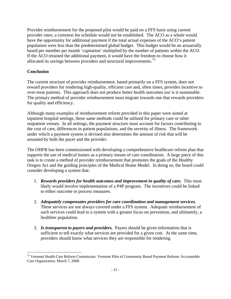Provider reimbursement for the proposed pilot would be paid on a FFS basis using current provider rates; a common fee schedule would not be established. The ACO as a whole would have the opportunity for additional payment if the total actual expenses of the ACO's patient population were less than the predetermined global budget. This budget would be an actuarially based per member per month 'capitation' multiplied by the number of patients within the ACO. If the ACO retained the additional payment, it would have the freedom to choose how it allocated its savings between providers and structural improvements.<sup>[75](#page-24-0)</sup>

## **Conclusion**

 $\overline{a}$ 

The current structure of provider reimbursement, based primarily on a FFS system, does not reward providers for rendering high-quality, efficient care and, often times, provides incentive to over-treat patients. This approach does not produce better health outcomes nor is it sustainable. The primary method of provider reimbursement must migrate towards one that rewards providers for quality and efficiency.

Although many examples of reimbursement reform provided in this paper were aimed at inpatient hospital settings, these same methods could be utilized for primary care or other outpatient venues. In all settings, the payment structure must account for factors contributing to the cost of care, differences in patient populations, and the severity of illness. The framework under which a payment system is devised also determines the amount of risk that will be assumed by both the payer and the provider.

The OHFB has been commissioned with developing a comprehensive healthcare reform plan that supports the use of medical homes as a primary means of care coordination. A large piece of this task is to create a method of provider reimbursement that promotes the goals of the Healthy Oregon Act and the guiding principles of the Medical Home Model. In doing so, the board could consider developing a system that:

- 1. *Rewards providers for health outcomes and improvement in quality of care.* This most likely would involve implementation of a P4P program. The incentives could be linked to either outcome or process measures.
- 2. *Adequately compensates providers for care coordination and management services.* These services are not always covered under a FFS system. Adequate reimbursement of such services could lead to a system with a greater focus on prevention, and ultimately, a healthier population.
- 3. *Is transparent to payers and providers.* Payers should be given information that is sufficient to tell exactly what services are provided for a given cost. At the same time, providers should know what services they are responsible for rendering.

<span id="page-24-0"></span><sup>&</sup>lt;sup>75</sup> Vermont Health Care Reform Commission. Vermont Pilot of Community Based Payment Reform: Accountable Care Organization. March 7, 2008.